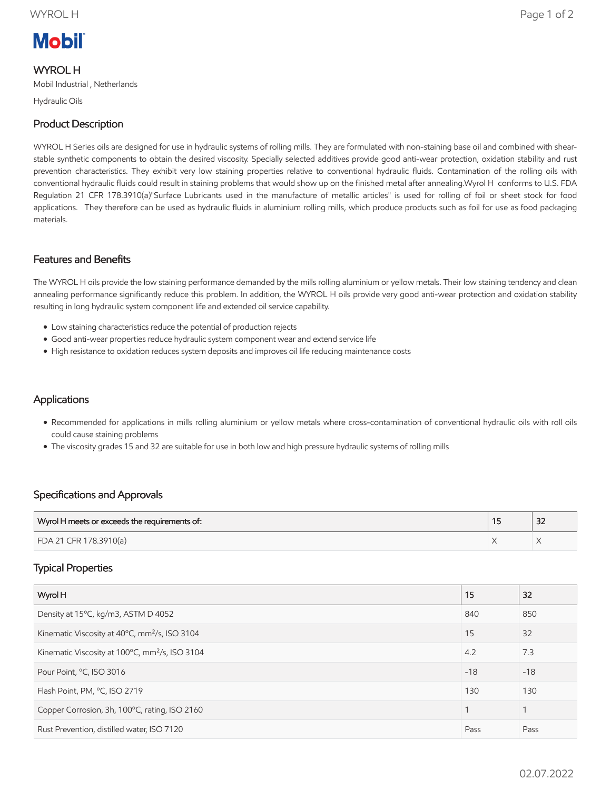# **Mobil**

# WYROL H

Mobil Industrial , Netherlands

Hydraulic Oils

# Product Description

WYROL H Series oils are designed for use in hydraulic systems of rolling mills. They are formulated with non-staining base oil and combined with shearstable synthetic components to obtain the desired viscosity. Specially selected additives provide good anti-wear protection, oxidation stability and rust prevention characteristics. They exhibit very low staining properties relative to conventional hydraulic fluids. Contamination of the rolling oils with conventional hydraulic fluids could result in staining problems that would show up on the finished metal after annealing.Wyrol H conforms to U.S. FDA Regulation 21 CFR 178.3910(a)"Surface Lubricants used in the manufacture of metallic articles" is used for rolling of foil or sheet stock for food applications. They therefore can be used as hydraulic fluids in aluminium rolling mills, which produce products such as foil for use as food packaging materials.

### Features and Benefits

The WYROL H oils provide the low staining performance demanded by the mills rolling aluminium or yellow metals. Their low staining tendency and clean annealing performance significantly reduce this problem. In addition, the WYROL H oils provide very good anti-wear protection and oxidation stability resulting in long hydraulic system component life and extended oil service capability.

- Low staining characteristics reduce the potential of production rejects
- Good anti-wear properties reduce hydraulic system component wear and extend service life
- High resistance to oxidation reduces system deposits and improves oil life reducing maintenance costs

### **Applications**

- Recommended for applications in mills rolling aluminium or yellow metals where cross-contamination of conventional hydraulic oils with roll oils could cause staining problems
- The viscosity grades 15 and 32 are suitable for use in both low and high pressure hydraulic systems of rolling mills

### Specifications and Approvals

| Wyrol H meets or exceeds the requirements of: | $\sim$<br>ےر |
|-----------------------------------------------|--------------|
| FDA 21 CFR 178.3910(a)                        |              |

### Typical Properties

| Wyrol H                                                    | 15    | 32    |
|------------------------------------------------------------|-------|-------|
| Density at 15°C, kg/m3, ASTM D 4052                        | 840   | 850   |
| Kinematic Viscosity at 40°C, mm <sup>2</sup> /s, ISO 3104  | 15    | 32    |
| Kinematic Viscosity at 100°C, mm <sup>2</sup> /s, ISO 3104 | 4.2   | 7.3   |
| Pour Point, °C, ISO 3016                                   | $-18$ | $-18$ |
| Flash Point, PM, °C, ISO 2719                              | 130   | 130   |
| Copper Corrosion, 3h, 100°C, rating, ISO 2160              |       |       |
| Rust Prevention, distilled water, ISO 7120                 | Pass  | Pass  |